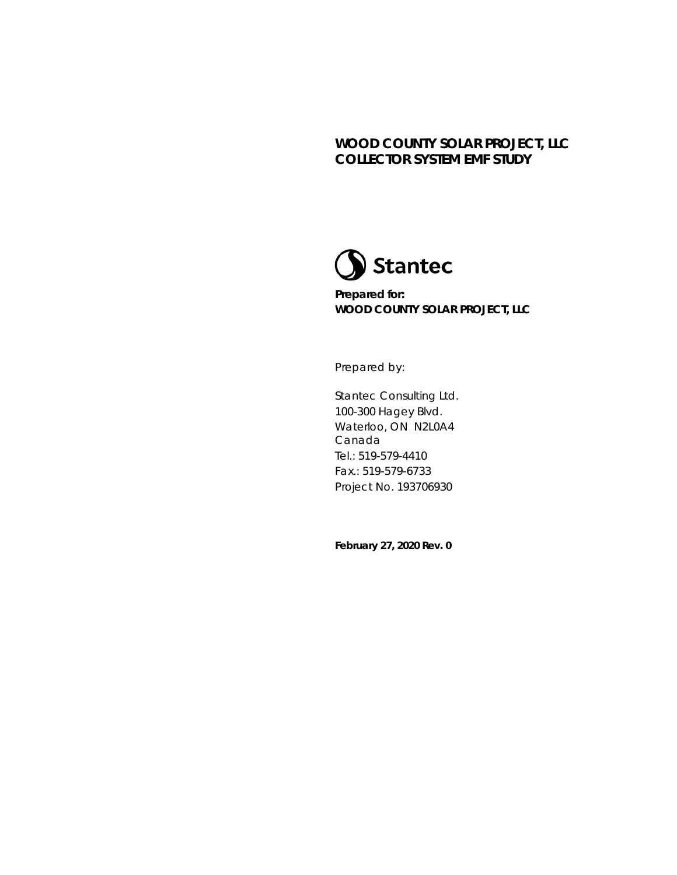

**Prepared for: WOOD COUNTY SOLAR PROJECT, LLC**

Prepared by:

Stantec Consulting Ltd. 100-300 Hagey Blvd. Waterloo, ON N2L0A4 Canada Tel.: 519-579-4410 Fax.: 519-579-6733 Project No. 193706930

**February 27, 2020 Rev. 0**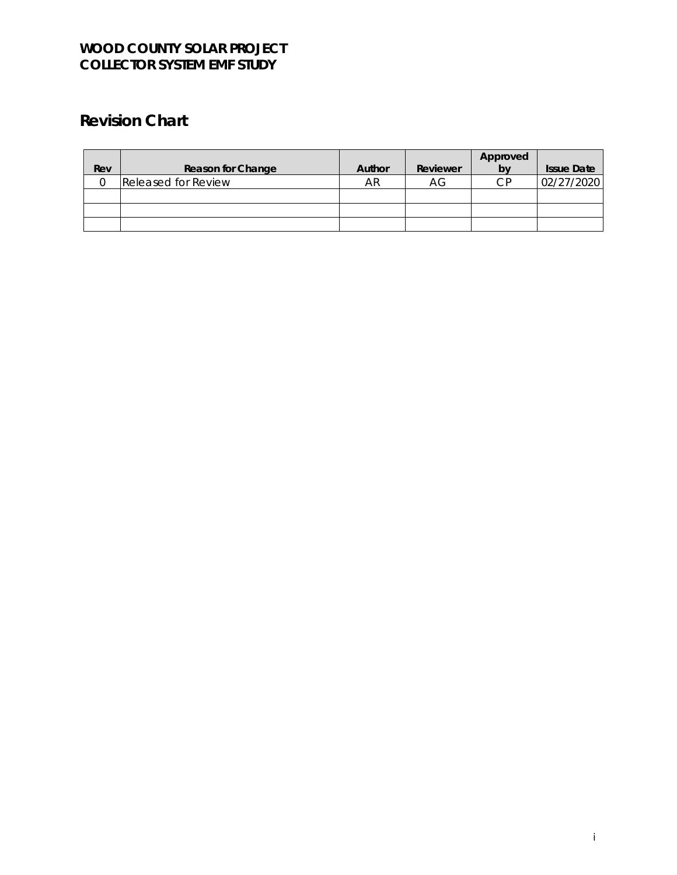# **Revision Chart**

|     |                            |        |          | Approved |                   |
|-----|----------------------------|--------|----------|----------|-------------------|
| Rev | Reason for Change          | Author | Reviewer | b٧       | <b>Issue Date</b> |
|     | <b>Released for Review</b> | AR     | АG       | CР       | 02/27/2020        |
|     |                            |        |          |          |                   |
|     |                            |        |          |          |                   |
|     |                            |        |          |          |                   |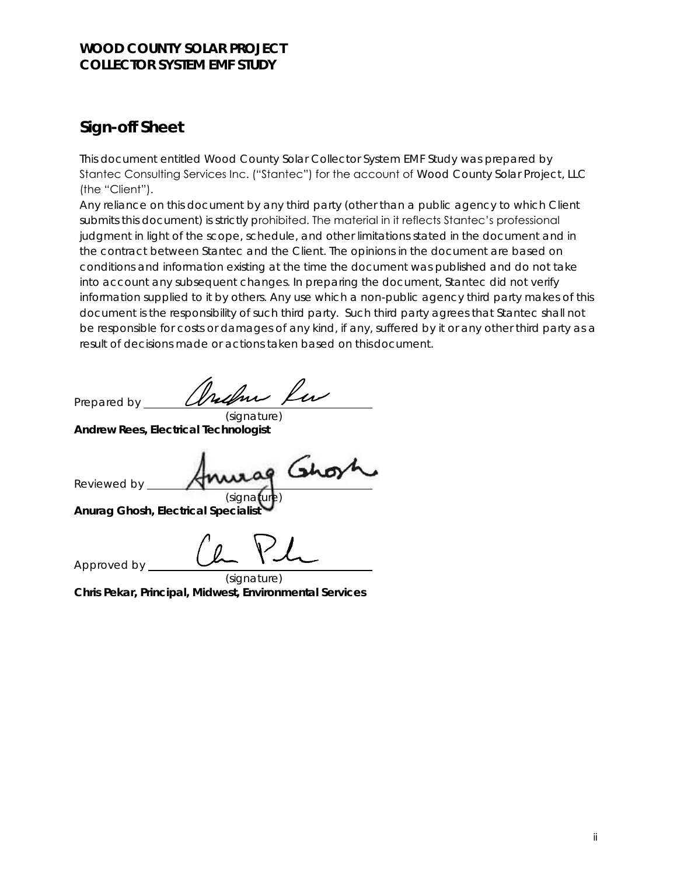## **Sign-off Sheet**

This document entitled *Wood County Solar Collector System EMF Study* was prepared by Stantec Consulting Services Inc. ("Stantec") for the account of Wood County Solar Project, LLC (the "Client").

Any reliance on this document by any third party (other than a public agency to which Client submits this document) is strictly prohibited. The material in it reflects Stantec's professional judgment in light of the scope, schedule, and other limitations stated in the document and in the contract between Stantec and the Client. The opinions in the document are based on conditions and information existing at the time the document was published and do not take into account any subsequent changes. In preparing the document, Stantec did not verify information supplied to it by others. Any use which a non-public agency third party makes of this document is the responsibility of such third party. Such third party agrees that Stantec shall not be responsible for costs or damages of any kind, if any, suffered by it or any other third party as a result of decisions made or actions taken based on thisdocument.

Prepared by

(signature) **Andrew Rees, Electrical Technologist**

Reviewed by (signa

**Anurag Ghosh, Electrical Specialists** 

Approved by

(signature) **Chris Pekar, Principal, Midwest, Environmental Services**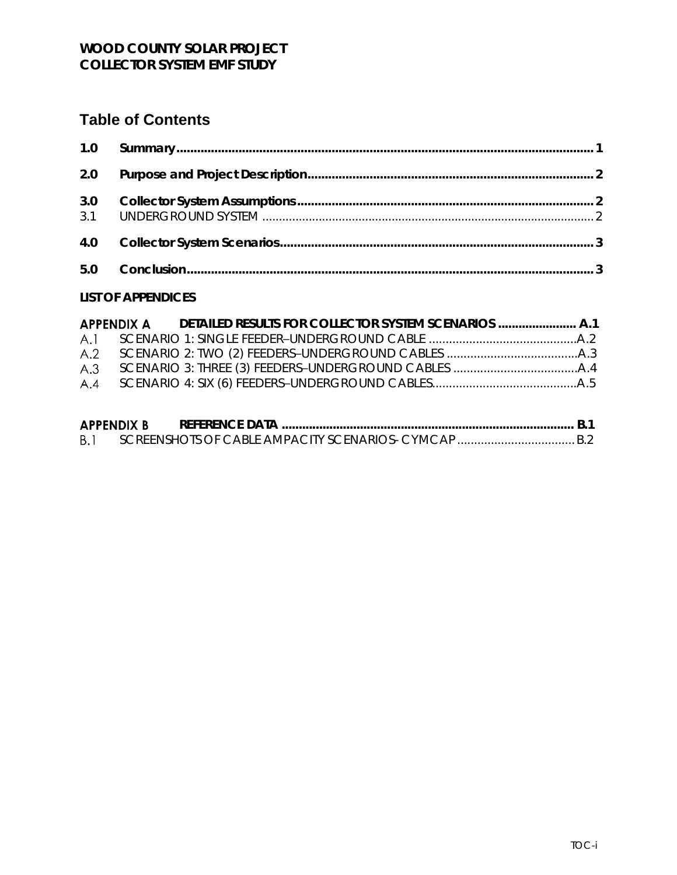# **Table of Contents**

#### **LIST OF APPENDICES**

|  | $\blacksquare$ | $\sim$ $\sim$ |
|--|----------------|---------------|

| <b>APPENDIX B</b> | REFERENCE DATA |  |
|-------------------|----------------|--|
| B.1               |                |  |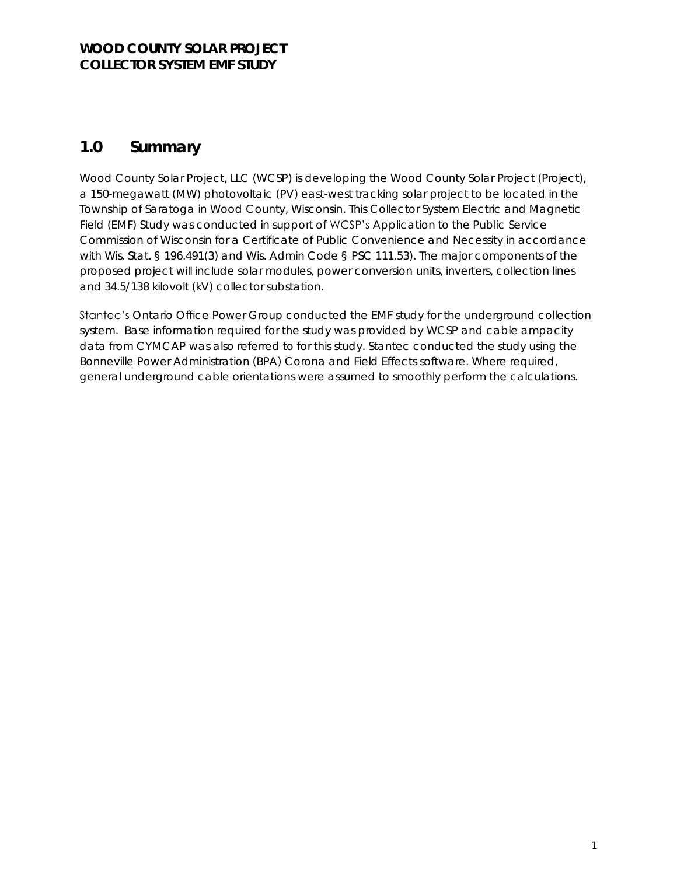## <span id="page-4-0"></span>**1.0 Summary**

Wood County Solar Project, LLC (WCSP) is developing the Wood County Solar Project (Project), a 150-megawatt (MW) photovoltaic (PV) east-west tracking solar project to be located in the Township of Saratoga in Wood County, Wisconsin. This Collector System Electric and Magnetic Field (EMF) Study was conducted in support of WCSP's Application to the Public Service Commission of Wisconsin for a Certificate of Public Convenience and Necessity in accordance with Wis. Stat. § 196.491(3) and Wis. Admin Code § PSC 111.53). The major components of the proposed project will include solar modules, power conversion units, inverters, collection lines and 34.5/138 kilovolt (kV) collector substation.

Stantec's Ontario Office Power Group conducted the EMF study for the underground collection system. Base information required for the study was provided by WCSP and cable ampacity data from CYMCAP was also referred to for this study. Stantec conducted the study using the Bonneville Power Administration (BPA) Corona and Field Effects software. Where required, general underground cable orientations were assumed to smoothly perform the calculations.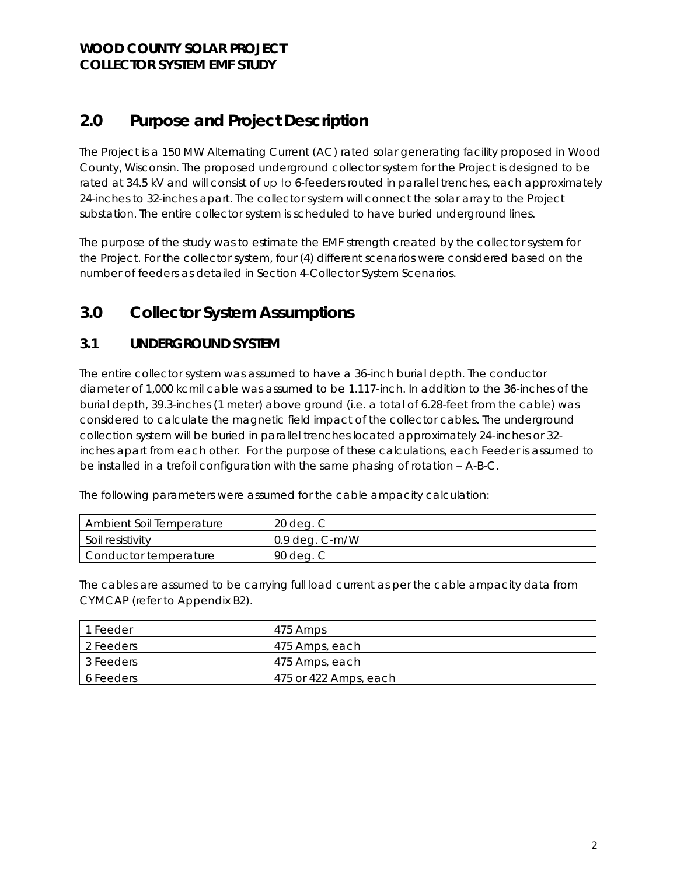# <span id="page-5-0"></span>**2.0 Purpose and Project Description**

The Project is a 150 MW Alternating Current (AC) rated solar generating facility proposed in Wood County, Wisconsin. The proposed underground collector system for the Project is designed to be rated at 34.5 kV and will consist of up to 6-feeders routed in parallel trenches, each approximately 24-inches to 32-inches apart. The collector system will connect the solar array to the Project substation. The entire collector system is scheduled to have buried underground lines.

The purpose of the study was to estimate the EMF strength created by the collector system for the Project. For the collector system, four (4) different scenarios were considered based on the number of feeders as detailed in Section 4-Collector System Scenarios.

## <span id="page-5-1"></span>**3.0 Collector System Assumptions**

#### <span id="page-5-2"></span>**3.1 UNDERGROUND SYSTEM**

The entire collector system was assumed to have a 36-inch burial depth. The conductor diameter of 1,000 kcmil cable was assumed to be 1.117-inch. In addition to the 36-inches of the burial depth, 39.3-inches (1 meter) above ground (i.e. a total of 6.28-feet from the cable) was considered to calculate the magnetic field impact of the collector cables. The underground collection system will be buried in parallel trenches located approximately 24-inches or 32 inches apart from each other. For the purpose of these calculations, each Feeder is assumed to be installed in a trefoil configuration with the same phasing of rotation – A-B-C.

The following parameters were assumed for the cable ampacity calculation:

| Ambient Soil Temperature | 20 deg. C        |
|--------------------------|------------------|
| Soil resistivity         | $0.9$ deg. C-m/W |
| Conductor temperature    | 90 deg. C        |

The cables are assumed to be carrying full load current as per the cable ampacity data from CYMCAP (refer to Appendix B2).

| 1 Feeder  | 475 Amps              |
|-----------|-----------------------|
| 2 Feeders | 475 Amps, each        |
| 3 Feeders | 475 Amps, each        |
| 6 Feeders | 475 or 422 Amps, each |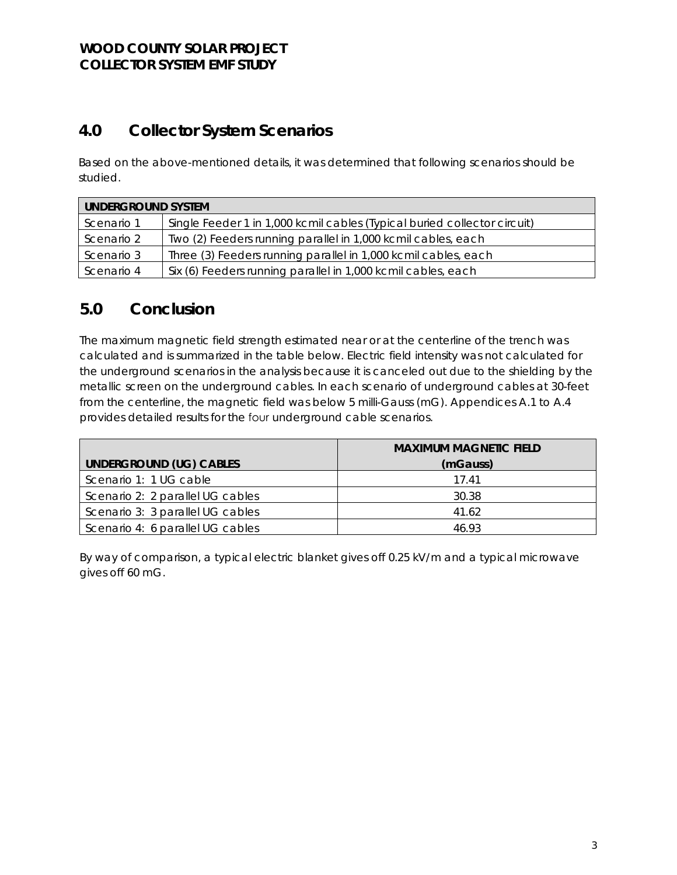# <span id="page-6-0"></span>**4.0 Collector System Scenarios**

Based on the above-mentioned details, it was determined that following scenarios should be studied.

| UNDERGROUND SYSTEM |                                                                          |  |  |  |  |
|--------------------|--------------------------------------------------------------------------|--|--|--|--|
| Scenario 1         | Single Feeder 1 in 1,000 kcmil cables (Typical buried collector circuit) |  |  |  |  |
| Scenario 2         | Two (2) Feeders running parallel in 1,000 kcmil cables, each             |  |  |  |  |
| Scenario 3         | Three (3) Feeders running parallel in 1,000 kcmil cables, each           |  |  |  |  |
| Scenario 4         | Six (6) Feeders running parallel in 1,000 kcmil cables, each             |  |  |  |  |

## <span id="page-6-1"></span>**5.0 Conclusion**

The maximum magnetic field strength estimated near or at the centerline of the trench was calculated and is summarized in the table below. Electric field intensity was not calculated for the underground scenarios in the analysis because it is canceled out due to the shielding by the metallic screen on the underground cables. In each scenario of underground cables at 30-feet from the centerline, the magnetic field was below 5 milli-Gauss (mG). Appendices A.1 to A.4 provides detailed results for the four underground cable scenarios.

|                                  | MAXIMUM MAGNETIC FIFLD |
|----------------------------------|------------------------|
| UNDERGROUND (UG) CABLES          | (mGauss)               |
| Scenario 1: 1 UG cable           | 1741                   |
| Scenario 2: 2 parallel UG cables | 30.38                  |
| Scenario 3: 3 parallel UG cables | 41.62                  |
| Scenario 4: 6 parallel UG cables | 46 93                  |

By way of comparison, a typical electric blanket gives off 0.25 kV/m and a typical microwave gives off 60 mG.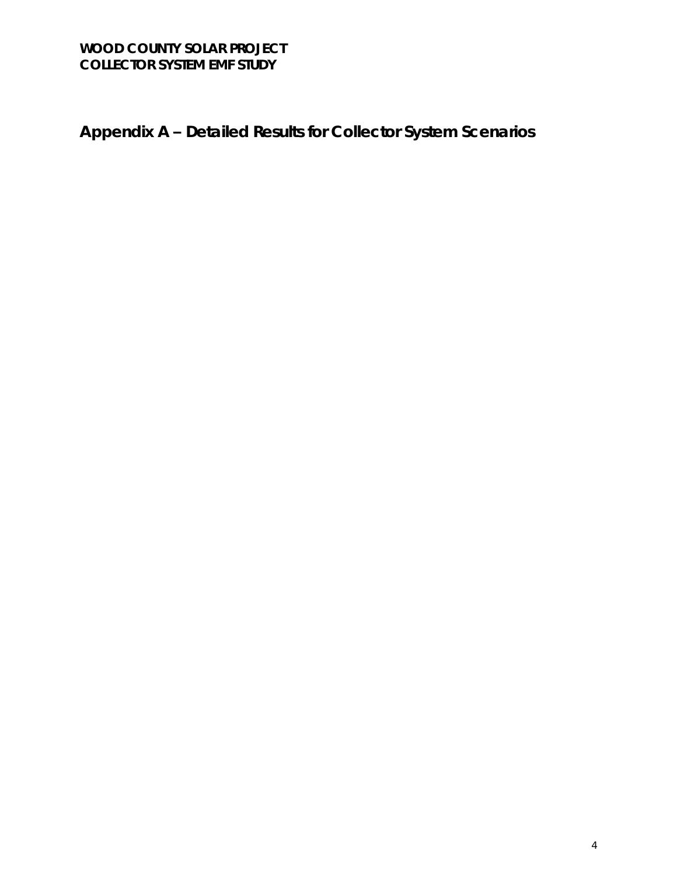**Appendix A – Detailed Results for Collector System Scenarios**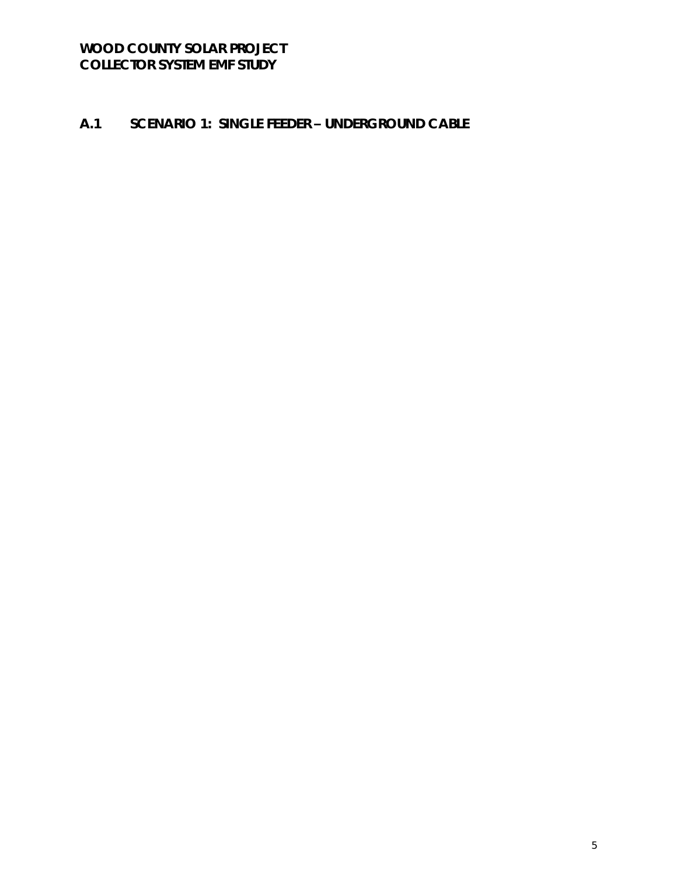### A.1 SCENARIO 1: SINGLE FEEDER - UNDERGROUND CABLE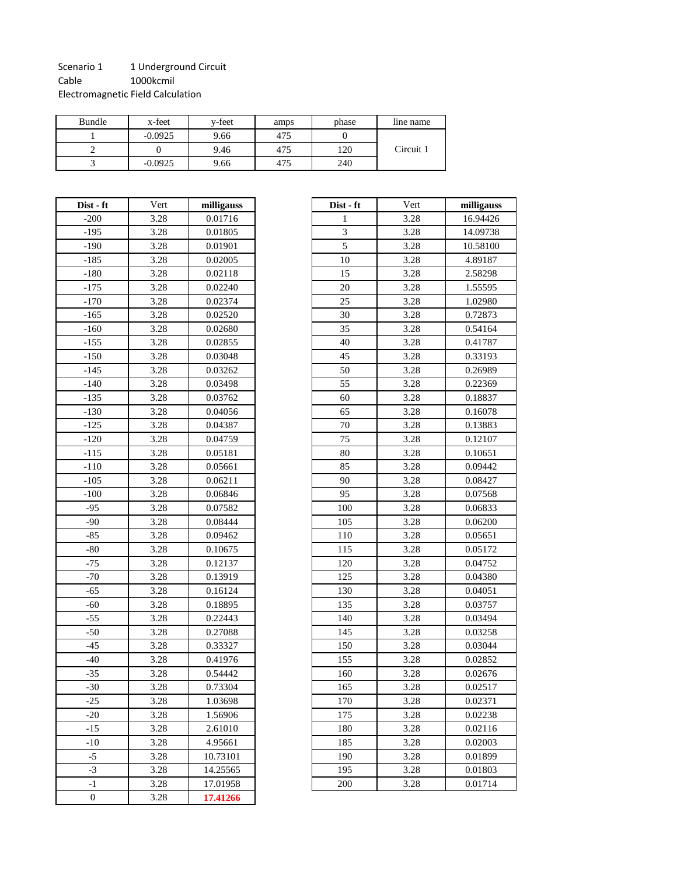#### Scenario 1 1 Underground Circuit Cable 1000kcmil Electromagnetic Field Calculation

| Bundle | x-feet    | v-feet | amps | phase | line name |
|--------|-----------|--------|------|-------|-----------|
|        | $-0.0925$ | 9.66   | 475  |       |           |
|        |           | 9.46   | 475  | 120   | Circuit 1 |
|        | $-0.0925$ | 9.66   | 475  | 240   |           |

| Dist - ft        | Vert | milligauss |
|------------------|------|------------|
| $-200$           | 3.28 | 0.01716    |
| $-195$           | 3.28 | 0.01805    |
| $-190$           | 3.28 | 0.01901    |
| $-185$           | 3.28 | 0.02005    |
| $-180$           | 3.28 | 0.02118    |
| $-175$           | 3.28 | 0.02240    |
| $-170$           | 3.28 | 0.02374    |
| $-165$           | 3.28 | 0.02520    |
| $-160$           | 3.28 | 0.02680    |
| $-155$           | 3.28 | 0.02855    |
| $-150$           | 3.28 | 0.03048    |
| $-145$           | 3.28 | 0.03262    |
| $-140$           | 3.28 | 0.03498    |
| $-135$           | 3.28 | 0.03762    |
| $-130$           | 3.28 | 0.04056    |
| $-125$           | 3.28 | 0.04387    |
| $-120$           | 3.28 | 0.04759    |
| $-115$           | 3.28 | 0.05181    |
| $-110$           | 3.28 | 0.05661    |
| $-105$           | 3.28 | 0.06211    |
| $-100$           | 3.28 | 0.06846    |
| $-95$            | 3.28 | 0.07582    |
| $-90$            | 3.28 | 0.08444    |
| $-85$            | 3.28 | 0.09462    |
| $-80$            | 3.28 | 0.10675    |
| $-75$            | 3.28 | 0.12137    |
| $-70$            | 3.28 | 0.13919    |
| $-65$            | 3.28 | 0.16124    |
| -60              | 3.28 | 0.18895    |
| $-55$            | 3.28 | 0.22443    |
| $-50$            | 3.28 | 0.27088    |
| $-45$            | 3.28 | 0.33327    |
| -40              | 3.28 | 0.41976    |
| $-35$            | 3.28 | 0.54442    |
| $-30$            | 3.28 | 0.73304    |
| $-25$            | 3.28 | 1.03698    |
| $-20$            | 3.28 | 1.56906    |
| $-15$            | 3.28 | 2.61010    |
| -10              | 3.28 | 4.95661    |
| $-5$             | 3.28 | 10.73101   |
| -3               | 3.28 | 14.25565   |
| -1               | 3.28 | 17.01958   |
| $\boldsymbol{0}$ | 3.28 | 17.41266   |

| Dist - ft | Vert | milligauss | Dist - ft                   | Vert | milligauss |
|-----------|------|------------|-----------------------------|------|------------|
| $-200$    | 3.28 | 0.01716    | 1                           | 3.28 | 16.94426   |
| $-195$    | 3.28 | 0.01805    | $\ensuremath{\mathfrak{Z}}$ | 3.28 | 14.09738   |
| $-190$    | 3.28 | 0.01901    | $\overline{5}$              | 3.28 | 10.58100   |
| $-185$    | 3.28 | 0.02005    | 10                          | 3.28 | 4.89187    |
| $-180$    | 3.28 | 0.02118    | 15                          | 3.28 | 2.58298    |
| $-175$    | 3.28 | 0.02240    | 20                          | 3.28 | 1.55595    |
| $-170$    | 3.28 | 0.02374    | 25                          | 3.28 | 1.02980    |
| $-165$    | 3.28 | 0.02520    | 30                          | 3.28 | 0.72873    |
| $-160$    | 3.28 | 0.02680    | 35                          | 3.28 | 0.54164    |
| $-155$    | 3.28 | 0.02855    | 40                          | 3.28 | 0.41787    |
| $-150$    | 3.28 | 0.03048    | 45                          | 3.28 | 0.33193    |
| $-145$    | 3.28 | 0.03262    | 50                          | 3.28 | 0.26989    |
| $-140$    | 3.28 | 0.03498    | 55                          | 3.28 | 0.22369    |
| $-135$    | 3.28 | 0.03762    | 60                          | 3.28 | 0.18837    |
| $-130$    | 3.28 | 0.04056    | 65                          | 3.28 | 0.16078    |
| $-125$    | 3.28 | 0.04387    | 70                          | 3.28 | 0.13883    |
| $-120$    | 3.28 | 0.04759    | 75                          | 3.28 | 0.12107    |
| $-115$    | 3.28 | 0.05181    | 80                          | 3.28 | 0.10651    |
| $-110$    | 3.28 | 0.05661    | 85                          | 3.28 | 0.09442    |
| $-105$    | 3.28 | 0.06211    | 90                          | 3.28 | 0.08427    |
| $-100$    | 3.28 | 0.06846    | 95                          | 3.28 | 0.07568    |
| $-95$     | 3.28 | 0.07582    | 100                         | 3.28 | 0.06833    |
| $-90$     | 3.28 | 0.08444    | 105                         | 3.28 | 0.06200    |
| $-85$     | 3.28 | 0.09462    | 110                         | 3.28 | 0.05651    |
| $-80$     | 3.28 | 0.10675    | 115                         | 3.28 | 0.05172    |
| $-75$     | 3.28 | 0.12137    | 120                         | 3.28 | 0.04752    |
| $-70$     | 3.28 | 0.13919    | 125                         | 3.28 | 0.04380    |
| $-65$     | 3.28 | 0.16124    | 130                         | 3.28 | 0.04051    |
| $-60$     | 3.28 | 0.18895    | 135                         | 3.28 | 0.03757    |
| $-55$     | 3.28 | 0.22443    | 140                         | 3.28 | 0.03494    |
| $-50$     | 3.28 | 0.27088    | 145                         | 3.28 | 0.03258    |
| $-45$     | 3.28 | 0.33327    | 150                         | 3.28 | 0.03044    |
| $-40$     | 3.28 | 0.41976    | 155                         | 3.28 | 0.02852    |
| $-35$     | 3.28 | 0.54442    | 160                         | 3.28 | 0.02676    |
| $-30$     | 3.28 | 0.73304    | 165                         | 3.28 | 0.02517    |
| $-25$     | 3.28 | 1.03698    | 170                         | 3.28 | 0.02371    |
| $-20$     | 3.28 | 1.56906    | 175                         | 3.28 | 0.02238    |
| $-15$     | 3.28 | 2.61010    | 180                         | 3.28 | 0.02116    |
| $-10$     | 3.28 | 4.95661    | 185                         | 3.28 | 0.02003    |
| $-5$      | 3.28 | 10.73101   | 190                         | 3.28 | 0.01899    |
| $-3$      | 3.28 | 14.25565   | 195                         | 3.28 | 0.01803    |
| $-1$      | 3.28 | 17.01958   | 200                         | 3.28 | 0.01714    |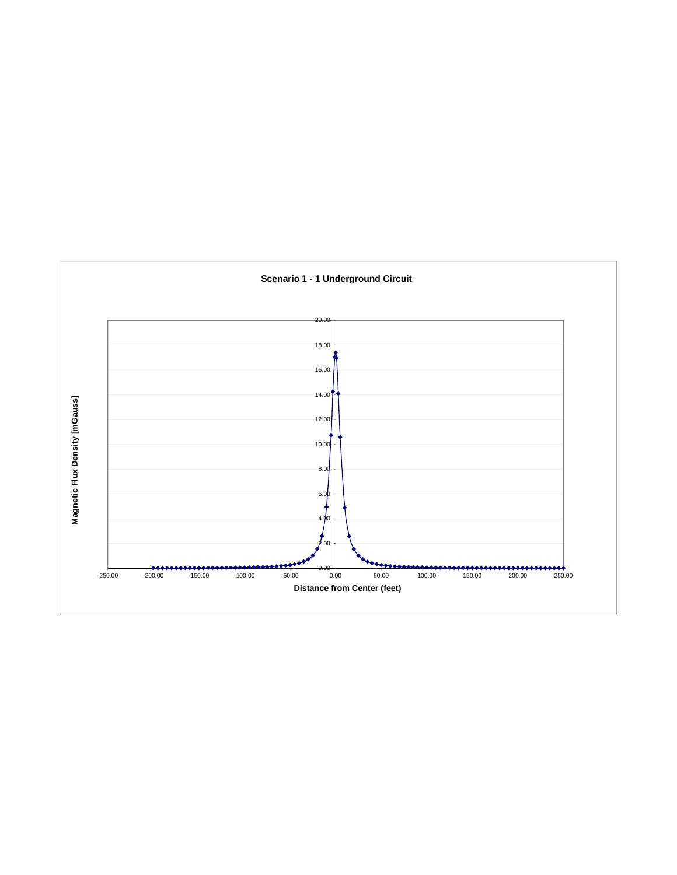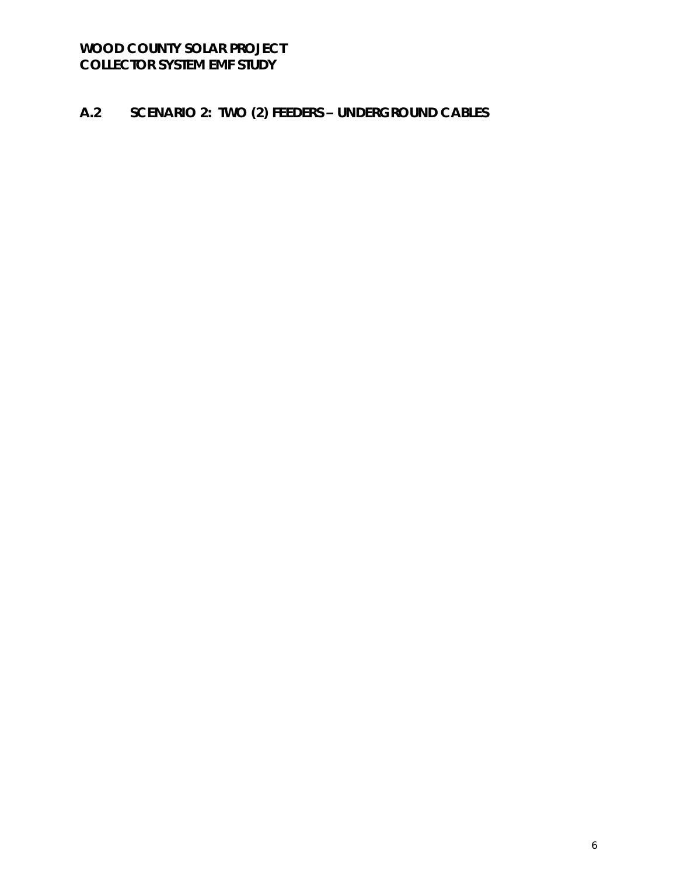#### $A.2$ SCENARIO 2: TWO (2) FEEDERS - UNDERGROUND CABLES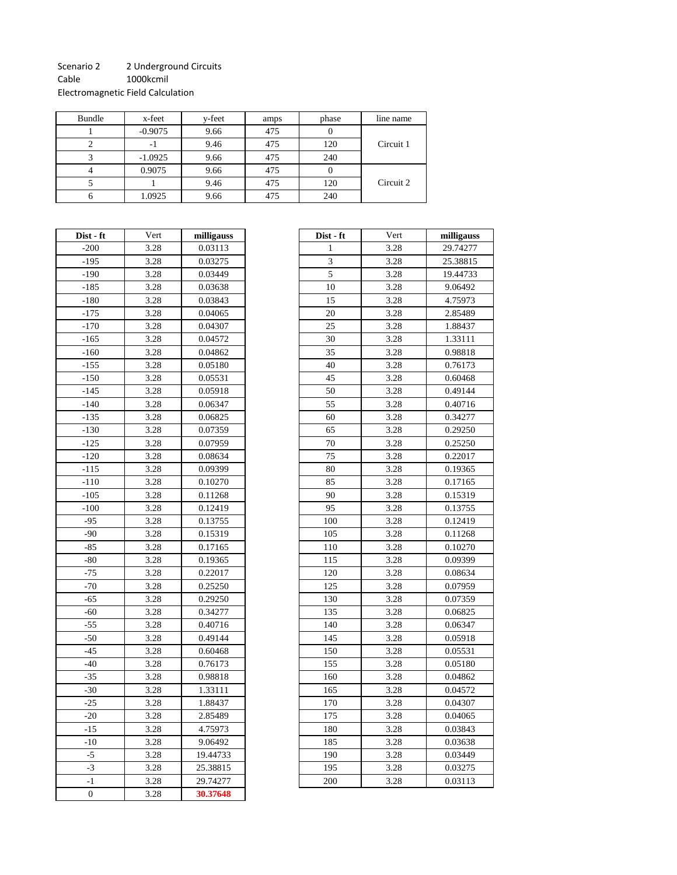#### Scenario 2 2 Underground Circuits

Cable 1000kcmil

Electromagnetic Field Calculation

| Bundle | x-feet    | y-feet | amps | phase | line name |
|--------|-----------|--------|------|-------|-----------|
|        | $-0.9075$ | 9.66   | 475  |       |           |
|        | - 1       | 9.46   | 475  | 120   | Circuit 1 |
|        | $-1.0925$ | 9.66   | 475  | 240   |           |
|        | 0.9075    | 9.66   | 475  |       |           |
|        |           | 9.46   | 475  | 120   | Circuit 2 |
|        | 1.0925    | 9.66   | 475  | 240   |           |

| Dist - ft      | Vert | milligauss |  |  |
|----------------|------|------------|--|--|
| $-200$         | 3.28 | 0.03113    |  |  |
| -195           | 3.28 | 0.03275    |  |  |
| $-190$         | 3.28 | 0.03449    |  |  |
| $-185$         | 3.28 | 0.03638    |  |  |
| $-180$         | 3.28 | 0.03843    |  |  |
| $-175$         | 3.28 | 0.04065    |  |  |
| $-170$         | 3.28 | 0.04307    |  |  |
| $-165$         | 3.28 | 0.04572    |  |  |
| $-160$         | 3.28 | 0.04862    |  |  |
| $-155$         | 3.28 | 0.05180    |  |  |
| $-150$         | 3.28 | 0.05531    |  |  |
| $-145$         | 3.28 | 0.05918    |  |  |
| $-140$         | 3.28 | 0.06347    |  |  |
| $-135$         | 3.28 | 0.06825    |  |  |
| $-130$         | 3.28 | 0.07359    |  |  |
| $-125$         | 3.28 | 0.07959    |  |  |
| $-120$         | 3.28 | 0.08634    |  |  |
| $-115$         | 3.28 | 0.09399    |  |  |
| -110           | 3.28 | 0.10270    |  |  |
| $-105$         | 3.28 | 0.11268    |  |  |
| $-100$         | 3.28 | 0.12419    |  |  |
| $-95$          | 3.28 | 0.13755    |  |  |
| $-90$          | 3.28 | 0.15319    |  |  |
| $-85$          | 3.28 | 0.17165    |  |  |
| $-80$          | 3.28 | 0.19365    |  |  |
| $-75$          | 3.28 | 0.22017    |  |  |
| $-70$          | 3.28 | 0.25250    |  |  |
| $-65$          | 3.28 | 0.29250    |  |  |
| $-60$          | 3.28 | 0.34277    |  |  |
| $-55$          | 3.28 | 0.40716    |  |  |
| $-50$          | 3.28 | 0.49144    |  |  |
| $-45$          | 3.28 | 0.60468    |  |  |
| $-40$          | 3.28 | 0.76173    |  |  |
| $-35$          | 3.28 | 0.98818    |  |  |
| $-30$          | 3.28 | 1.33111    |  |  |
| $-25$          | 3.28 | 1.88437    |  |  |
| $-20$          | 3.28 | 2.85489    |  |  |
| $-15$          | 3.28 | 4.75973    |  |  |
| $-10$          | 3.28 | 9.06492    |  |  |
| $-5$           | 3.28 | 19.44733   |  |  |
| $-3$           | 3.28 | 25.38815   |  |  |
| $-1$           | 3.28 | 29.74277   |  |  |
| $\overline{0}$ | 3.28 | 30.37648   |  |  |

| Dist - ft | Vert | milligauss | Dist - ft      | Vert | milligauss |
|-----------|------|------------|----------------|------|------------|
| $-200$    | 3.28 | 0.03113    | 1              | 3.28 | 29.74277   |
| $-195$    | 3.28 | 0.03275    | 3              | 3.28 | 25.38815   |
| $-190$    | 3.28 | 0.03449    | $\overline{5}$ | 3.28 | 19.44733   |
| $-185$    | 3.28 | 0.03638    | 10             | 3.28 | 9.06492    |
| $-180$    | 3.28 | 0.03843    | 15             | 3.28 | 4.75973    |
| $-175$    | 3.28 | 0.04065    | 20             | 3.28 | 2.85489    |
| $-170$    | 3.28 | 0.04307    | 25             | 3.28 | 1.88437    |
| $-165$    | 3.28 | 0.04572    | 30             | 3.28 | 1.33111    |
| $-160$    | 3.28 | 0.04862    | 35             | 3.28 | 0.98818    |
| $-155$    | 3.28 | 0.05180    | 40             | 3.28 | 0.76173    |
| $-150$    | 3.28 | 0.05531    | 45             | 3.28 | 0.60468    |
| $-145$    | 3.28 | 0.05918    | 50             | 3.28 | 0.49144    |
| $-140$    | 3.28 | 0.06347    | 55             | 3.28 | 0.40716    |
| $-135$    | 3.28 | 0.06825    | 60             | 3.28 | 0.34277    |
| $-130$    | 3.28 | 0.07359    | 65             | 3.28 | 0.29250    |
| $-125$    | 3.28 | 0.07959    | 70             | 3.28 | 0.25250    |
| $-120$    | 3.28 | 0.08634    | 75             | 3.28 | 0.22017    |
| $-115$    | 3.28 | 0.09399    | 80             | 3.28 | 0.19365    |
| $-110$    | 3.28 | 0.10270    | 85             | 3.28 | 0.17165    |
| $-105$    | 3.28 | 0.11268    | 90             | 3.28 | 0.15319    |
| $-100$    | 3.28 | 0.12419    | 95             | 3.28 | 0.13755    |
| $-95$     | 3.28 | 0.13755    | 100            | 3.28 | 0.12419    |
| $-90$     | 3.28 | 0.15319    | 105            | 3.28 | 0.11268    |
| $-85$     | 3.28 | 0.17165    | 110            | 3.28 | 0.10270    |
| -80       | 3.28 | 0.19365    | 115            | 3.28 | 0.09399    |
| $-75$     | 3.28 | 0.22017    | 120            | 3.28 | 0.08634    |
| $-70$     | 3.28 | 0.25250    | 125            | 3.28 | 0.07959    |
| $-65$     | 3.28 | 0.29250    | 130            | 3.28 | 0.07359    |
| $-60$     | 3.28 | 0.34277    | 135            | 3.28 | 0.06825    |
| $-55$     | 3.28 | 0.40716    | 140            | 3.28 | 0.06347    |
| $-50$     | 3.28 | 0.49144    | 145            | 3.28 | 0.05918    |
| $-45$     | 3.28 | 0.60468    | 150            | 3.28 | 0.05531    |
| $-40$     | 3.28 | 0.76173    | 155            | 3.28 | 0.05180    |
| $-35$     | 3.28 | 0.98818    | 160            | 3.28 | 0.04862    |
| $-30$     | 3.28 | 1.33111    | 165            | 3.28 | 0.04572    |
| $-25$     | 3.28 | 1.88437    | 170            | 3.28 | 0.04307    |
| $-20$     | 3.28 | 2.85489    | 175            | 3.28 | 0.04065    |
| $-15$     | 3.28 | 4.75973    | 180            | 3.28 | 0.03843    |
| $-10$     | 3.28 | 9.06492    | 185            | 3.28 | 0.03638    |
| $-5$      | 3.28 | 19.44733   | 190            | 3.28 | 0.03449    |
| $-3$      | 3.28 | 25.38815   | 195            | 3.28 | 0.03275    |
| $-1$      | 3.28 | 29.74277   | 200            | 3.28 | 0.03113    |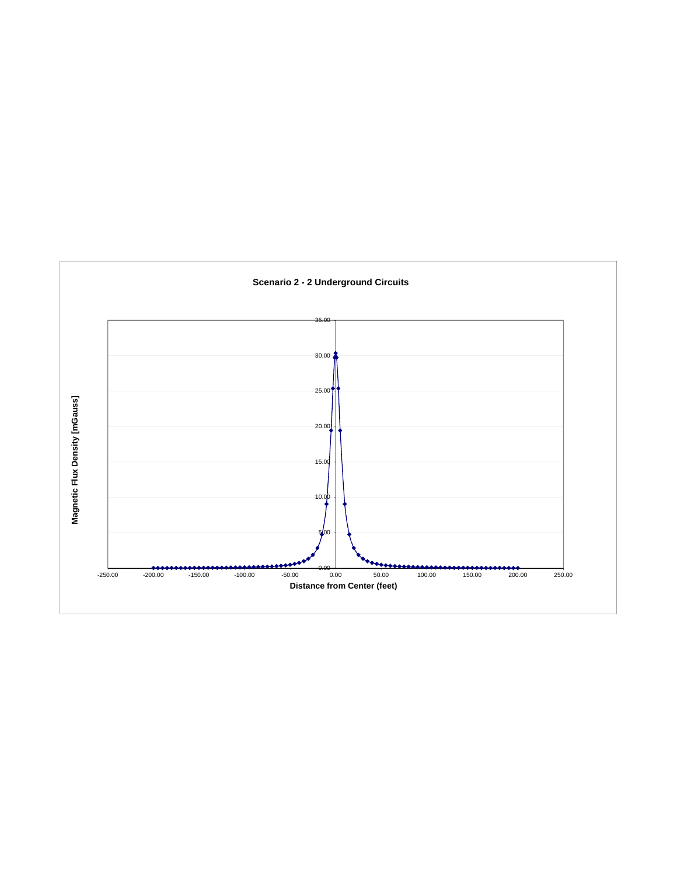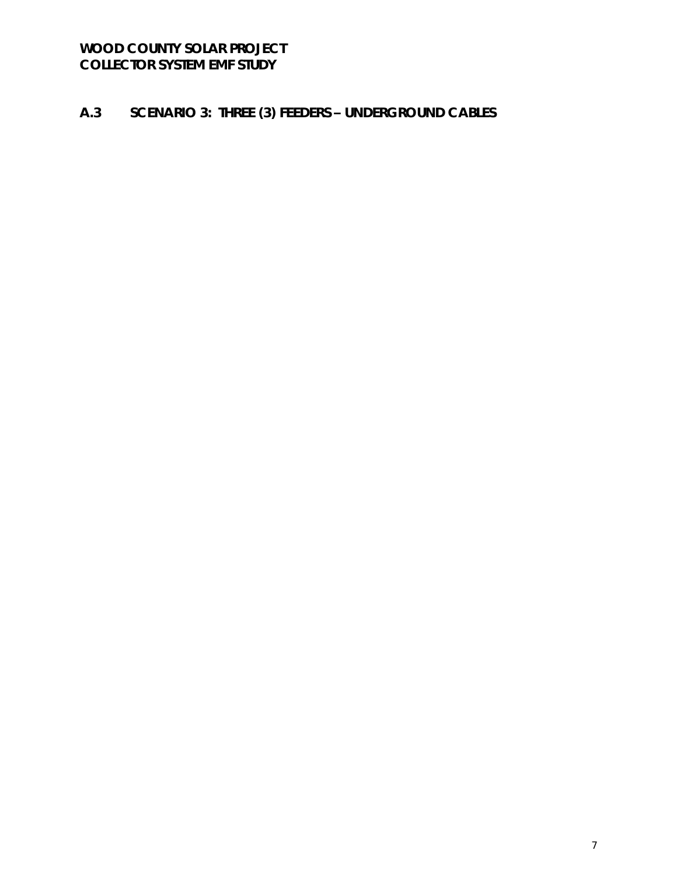#### $A.3$ SCENARIO 3: THREE (3) FEEDERS - UNDERGROUND CABLES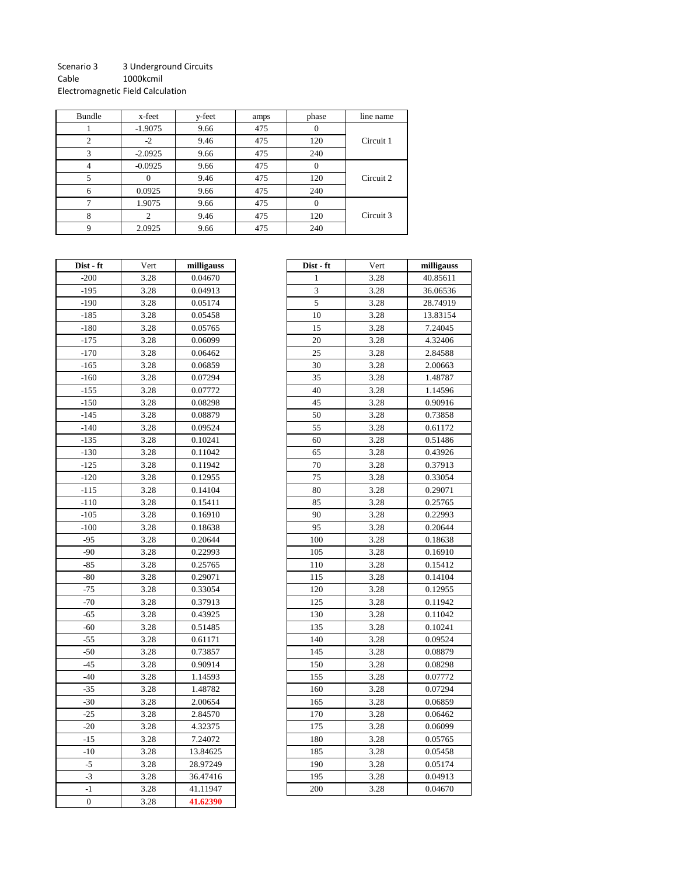#### Scenario 3 3 Underground Circuits Cable 1000kcmil

Electromagnetic Field Calculation

| Bundle | x-feet    | y-feet | amps | phase             | line name |
|--------|-----------|--------|------|-------------------|-----------|
|        | $-1.9075$ | 9.66   | 475  | $\mathbf{\Omega}$ |           |
| 2      | $-2$      | 9.46   | 475  | 120               | Circuit 1 |
| 3      | $-2.0925$ | 9.66   | 475  | 240               |           |
|        | $-0.0925$ | 9.66   | 475  | 0                 |           |
|        | $^{(1)}$  | 9.46   | 475  | 120               | Circuit 2 |
| 6      | 0.0925    | 9.66   | 475  | 240               |           |
|        | 1.9075    | 9.66   | 475  | $\Omega$          |           |
| 8      | 2         | 9.46   | 475  | 120               | Circuit 3 |
|        | 2.0925    | 9.66   | 475  | 240               |           |

| Dist - ft        | Vert | milligauss |  |
|------------------|------|------------|--|
| $-200$           | 3.28 | 0.04670    |  |
| $-195$           | 3.28 | 0.04913    |  |
| $-190$           | 3.28 | 0.05174    |  |
| $-185$           | 3.28 | 0.05458    |  |
| $-180$           | 3.28 | 0.05765    |  |
| $-175$           | 3.28 | 0.06099    |  |
| $-170$           | 3.28 | 0.06462    |  |
| $-165$           | 3.28 | 0.06859    |  |
| $-160$           | 3.28 | 0.07294    |  |
| $-155$           | 3.28 | 0.07772    |  |
| -150             | 3.28 | 0.08298    |  |
| $-145$           | 3.28 | 0.08879    |  |
| $-140$           | 3.28 | 0.09524    |  |
| -135             | 3.28 | 0.10241    |  |
| $-130$           | 3.28 | 0.11042    |  |
| $-125$           | 3.28 | 0.11942    |  |
| $-120$           | 3.28 | 0.12955    |  |
| $-115$           | 3.28 | 0.14104    |  |
| $-110$           | 3.28 | 0.15411    |  |
| -105             | 3.28 | 0.16910    |  |
| $-100$           | 3.28 | 0.18638    |  |
| $-95$            | 3.28 | 0.20644    |  |
| $-90$            | 3.28 | 0.22993    |  |
| $-85$            | 3.28 | 0.25765    |  |
| $-80$            | 3.28 | 0.29071    |  |
| $-75$            | 3.28 | 0.33054    |  |
| $-70$            | 3.28 | 0.37913    |  |
| $-65$            | 3.28 | 0.43925    |  |
| -60              | 3.28 | 0.51485    |  |
| $-55$            | 3.28 | 0.61171    |  |
| -50              | 3.28 | 0.73857    |  |
| $-45$            | 3.28 | 0.90914    |  |
| $-40$            | 3.28 | 1.14593    |  |
| $-35$            | 3.28 | 1.48782    |  |
| $-30$            | 3.28 | 2.00654    |  |
| $-25$            | 3.28 | 2.84570    |  |
| $-20$            | 3.28 | 4.32375    |  |
| $-15$            | 3.28 | 7.24072    |  |
| $-10$            | 3.28 | 13.84625   |  |
| $-5$             | 3.28 | 28.97249   |  |
| $-3$             | 3.28 | 36.47416   |  |
| $-1$             | 3.28 | 41.11947   |  |
| $\boldsymbol{0}$ | 3.28 | 41.62390   |  |

| ist - ft | Vert | milligauss | Dist - ft | Vert | milligauss |
|----------|------|------------|-----------|------|------------|
| -200     | 3.28 | 0.04670    | 1         | 3.28 | 40.85611   |
| $-195$   | 3.28 | 0.04913    | 3         | 3.28 | 36.06536   |
| -190     | 3.28 | 0.05174    | 5         | 3.28 | 28.74919   |
| -185     | 3.28 | 0.05458    | 10        | 3.28 | 13.83154   |
| -180     | 3.28 | 0.05765    | 15        | 3.28 | 7.24045    |
| -175     | 3.28 | 0.06099    | 20        | 3.28 | 4.32406    |
| -170     | 3.28 | 0.06462    | 25        | 3.28 | 2.84588    |
| -165     | 3.28 | 0.06859    | 30        | 3.28 | 2.00663    |
| -160     | 3.28 | 0.07294    | 35        | 3.28 | 1.48787    |
| $-155$   | 3.28 | 0.07772    | 40        | 3.28 | 1.14596    |
| -150     | 3.28 | 0.08298    | 45        | 3.28 | 0.90916    |
| -145     | 3.28 | 0.08879    | 50        | 3.28 | 0.73858    |
| -140     | 3.28 | 0.09524    | 55        | 3.28 | 0.61172    |
| -135     | 3.28 | 0.10241    | 60        | 3.28 | 0.51486    |
| -130     | 3.28 | 0.11042    | 65        | 3.28 | 0.43926    |
| $-125$   | 3.28 | 0.11942    | 70        | 3.28 | 0.37913    |
| $-120$   | 3.28 | 0.12955    | 75        | 3.28 | 0.33054    |
| $-115$   | 3.28 | 0.14104    | 80        | 3.28 | 0.29071    |
| -110     | 3.28 | 0.15411    | 85        | 3.28 | 0.25765    |
| $-105$   | 3.28 | 0.16910    | 90        | 3.28 | 0.22993    |
| $-100$   | 3.28 | 0.18638    | 95        | 3.28 | 0.20644    |
| $-95$    | 3.28 | 0.20644    | 100       | 3.28 | 0.18638    |
| $-90$    | 3.28 | 0.22993    | 105       | 3.28 | 0.16910    |
| $-85$    | 3.28 | 0.25765    | 110       | 3.28 | 0.15412    |
| -80      | 3.28 | 0.29071    | 115       | 3.28 | 0.14104    |
| $-75$    | 3.28 | 0.33054    | 120       | 3.28 | 0.12955    |
| $-70$    | 3.28 | 0.37913    | 125       | 3.28 | 0.11942    |
| $-65$    | 3.28 | 0.43925    | 130       | 3.28 | 0.11042    |
| -60      | 3.28 | 0.51485    | 135       | 3.28 | 0.10241    |
| $-55$    | 3.28 | 0.61171    | 140       | 3.28 | 0.09524    |
| $-50$    | 3.28 | 0.73857    | 145       | 3.28 | 0.08879    |
| $-45$    | 3.28 | 0.90914    | 150       | 3.28 | 0.08298    |
| $-40$    | 3.28 | 1.14593    | 155       | 3.28 | 0.07772    |
| -35      | 3.28 | 1.48782    | 160       | 3.28 | 0.07294    |
| $-30$    | 3.28 | 2.00654    | 165       | 3.28 | 0.06859    |
| $-25$    | 3.28 | 2.84570    | 170       | 3.28 | 0.06462    |
| $-20$    | 3.28 | 4.32375    | 175       | 3.28 | 0.06099    |
| $-15$    | 3.28 | 7.24072    | 180       | 3.28 | 0.05765    |
| $-10$    | 3.28 | 13.84625   | 185       | 3.28 | 0.05458    |
| $-5$     | 3.28 | 28.97249   | 190       | 3.28 | 0.05174    |
| $-3$     | 3.28 | 36.47416   | 195       | 3.28 | 0.04913    |
| $-1$     | 3.28 | 41.11947   | 200       | 3.28 | 0.04670    |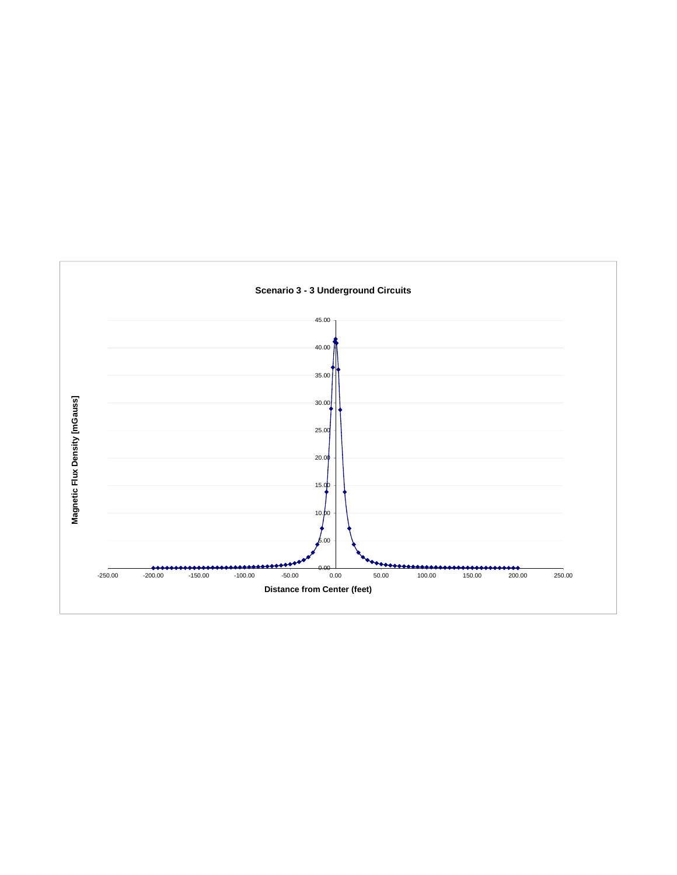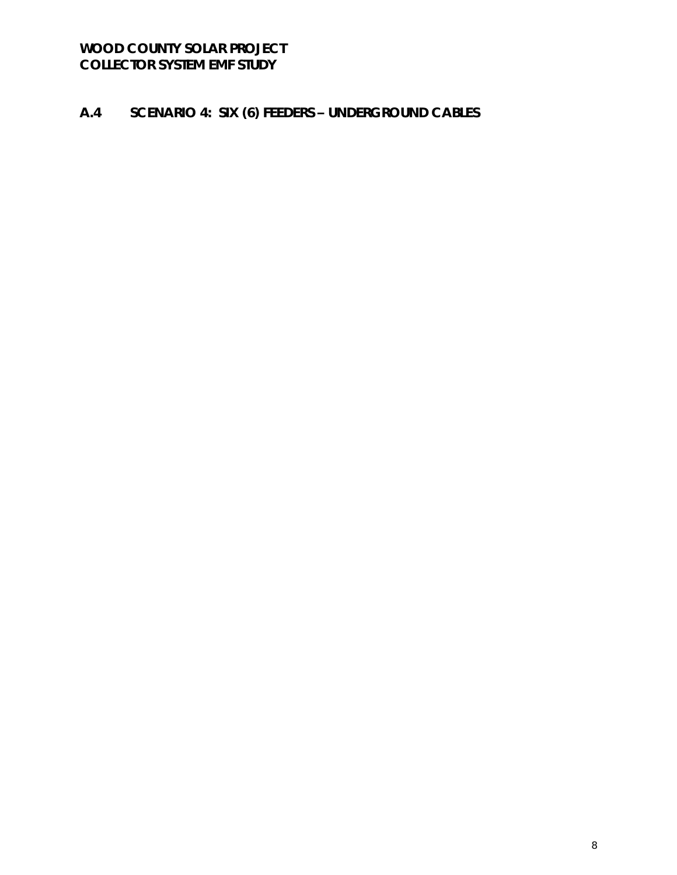#### SCENARIO 4: SIX (6) FEEDERS - UNDERGROUND CABLES  $A.4$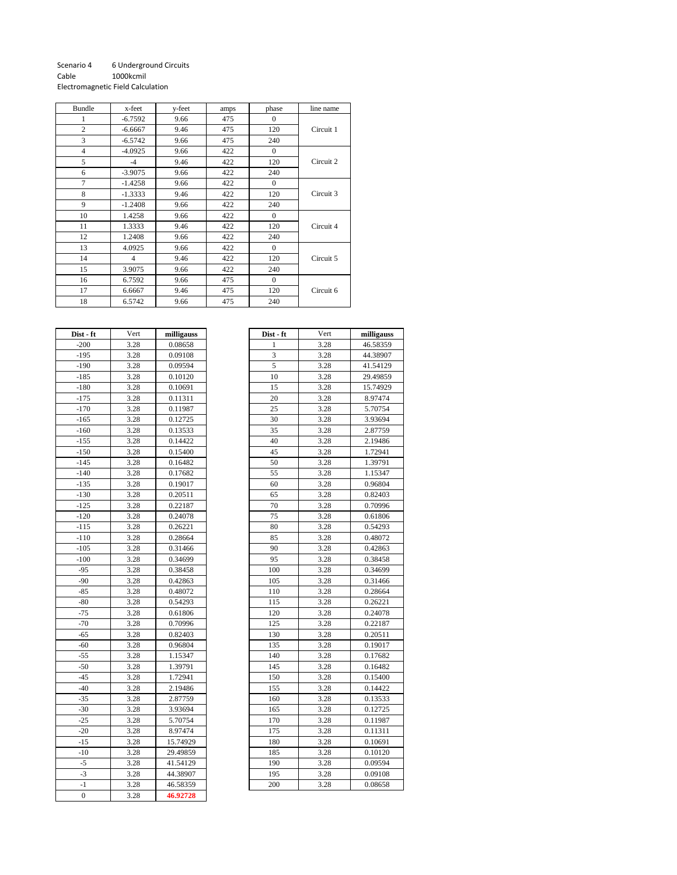#### Scenario 4 6 Underground Circuits<br>Cable 1000kcmil 1000kcmil Electromagnetic Field Calculation

| Bundle         | x-feet         | y-feet | amps | phase        | line name |
|----------------|----------------|--------|------|--------------|-----------|
| 1              | $-6.7592$      | 9.66   | 475  | $\mathbf{0}$ |           |
| $\mathfrak{2}$ | $-6.6667$      | 9.46   | 475  | 120          | Circuit 1 |
| 3              | $-6.5742$      | 9.66   | 475  | 240          |           |
| $\overline{4}$ | $-4.0925$      | 9.66   | 422  | $\mathbf{0}$ |           |
| 5              | $-4$           | 9.46   | 422  | 120          | Circuit 2 |
| 6              | $-3.9075$      | 9.66   | 422  | 240          |           |
| $\tau$         | $-1.4258$      | 9.66   | 422  | $\Omega$     |           |
| 8              | $-1.3333$      | 9.46   | 422  | 120          | Circuit 3 |
| 9              | $-1.2408$      | 9.66   | 422  | 240          |           |
| 10             | 1.4258         | 9.66   | 422  | $\Omega$     |           |
| 11             | 1.3333         | 9.46   | 422  | 120          | Circuit 4 |
| 12             | 1.2408         | 9.66   | 422  | 240          |           |
| 13             | 4.0925         | 9.66   | 422  | $\mathbf{0}$ |           |
| 14             | $\overline{4}$ | 9.46   | 422  | 120          | Circuit 5 |
| 15             | 3.9075         | 9.66   | 422  | 240          |           |
| 16             | 6.7592         | 9.66   | 475  | $\Omega$     |           |
| 17             | 6.6667         | 9.46   | 475  | 120          | Circuit 6 |
| 18             | 6.5742         | 9.66   | 475  | 240          |           |

| Dist - ft    | Vert | milligauss |
|--------------|------|------------|
| $-200$       | 3.28 | 0.08658    |
| $-195$       | 3.28 | 0.09108    |
| $-190$       | 3.28 | 0.09594    |
| $-185$       | 3.28 | 0.10120    |
| $-180$       | 3.28 | 0.10691    |
| $-175$       | 3.28 | 0.11311    |
| $-170$       | 3.28 | 0.11987    |
| $-165$       | 3.28 | 0.12725    |
| $-160$       | 3.28 | 0.13533    |
| $-155$       | 3.28 | 0.14422    |
| $-150$       | 3.28 | 0.15400    |
| $-145$       | 3.28 | 0.16482    |
| -140         | 3.28 | 0.17682    |
| $-135$       | 3.28 | 0.19017    |
| $-130$       | 3.28 | 0.20511    |
| $-125$       | 3.28 | 0.22187    |
| -120         | 3.28 | 0.24078    |
| $-115$       | 3.28 | 0.26221    |
| -110         | 3.28 | 0.28664    |
| -105         | 3.28 | 0.31466    |
| $-100$       | 3.28 | 0.34699    |
| $-95$        | 3.28 | 0.38458    |
| $-90$        | 3.28 | 0.42863    |
| $-85$        | 3.28 | 0.48072    |
| -80          | 3.28 | 0.54293    |
| -75          | 3.28 | 0.61806    |
| -70          | 3.28 | 0.70996    |
| $-65$        | 3.28 | 0.82403    |
| $-60$        | 3.28 | 0.96804    |
| -55          | 3.28 | 1.15347    |
| $-50$        | 3.28 | 1.39791    |
| $-45$        | 3.28 | 1.72941    |
| $-40$        | 3.28 | 2.19486    |
| $-35$        | 3.28 | 2.87759    |
| $-30$        | 3.28 | 3.93694    |
| $-25$        | 3.28 | 5.70754    |
| -20          | 3.28 | 8.97474    |
| $-15$        | 3.28 | 15.74929   |
| -10          | 3.28 | 29.49859   |
| $-5$         | 3.28 | 41.54129   |
| $-3$         | 3.28 | 44.38907   |
| -1           | 3.28 | 46.58359   |
| $\mathbf{0}$ | 3.28 | 46.92728   |

| ist - ft | Vert | milligauss | Dist - ft    | Vert | milligauss |
|----------|------|------------|--------------|------|------------|
| $-200$   | 3.28 | 0.08658    | $\mathbf{1}$ | 3.28 | 46.58359   |
| -195     | 3.28 | 0.09108    | 3            | 3.28 | 44.38907   |
| $-190$   | 3.28 | 0.09594    | 5            | 3.28 | 41.54129   |
| -185     | 3.28 | 0.10120    | 10           | 3.28 | 29.49859   |
| $-180$   | 3.28 | 0.10691    | 15           | 3.28 | 15.74929   |
| -175     | 3.28 | 0.11311    | 20           | 3.28 | 8.97474    |
| -170     | 3.28 | 0.11987    | 25           | 3.28 | 5.70754    |
| -165     | 3.28 | 0.12725    | 30           | 3.28 | 3.93694    |
| -160     | 3.28 | 0.13533    | 35           | 3.28 | 2.87759    |
| $-155$   | 3.28 | 0.14422    | 40           | 3.28 | 2.19486    |
| -150     | 3.28 | 0.15400    | 45           | 3.28 | 1.72941    |
| $-145$   | 3.28 | 0.16482    | 50           | 3.28 | 1.39791    |
| -140     | 3.28 | 0.17682    | 55           | 3.28 | 1.15347    |
| $-135$   | 3.28 | 0.19017    | 60           | 3.28 | 0.96804    |
| -130     | 3.28 | 0.20511    | 65           | 3.28 | 0.82403    |
| -125     | 3.28 | 0.22187    | 70           | 3.28 | 0.70996    |
| $-120$   | 3.28 | 0.24078    | 75           | 3.28 | 0.61806    |
| -115     | 3.28 | 0.26221    | 80           | 3.28 | 0.54293    |
| $-110$   | 3.28 | 0.28664    | 85           | 3.28 | 0.48072    |
| -105     | 3.28 | 0.31466    | 90           | 3.28 | 0.42863    |
| -100     | 3.28 | 0.34699    | 95           | 3.28 | 0.38458    |
| $-95$    | 3.28 | 0.38458    | 100          | 3.28 | 0.34699    |
| $-90$    | 3.28 | 0.42863    | 105          | 3.28 | 0.31466    |
| -85      | 3.28 | 0.48072    | 110          | 3.28 | 0.28664    |
| $-80$    | 3.28 | 0.54293    | 115          | 3.28 | 0.26221    |
| $-75$    | 3.28 | 0.61806    | 120          | 3.28 | 0.24078    |
| $-70$    | 3.28 | 0.70996    | 125          | 3.28 | 0.22187    |
| $-65$    | 3.28 | 0.82403    | 130          | 3.28 | 0.20511    |
| -60      | 3.28 | 0.96804    | 135          | 3.28 | 0.19017    |
| $-55$    | 3.28 | 1.15347    | 140          | 3.28 | 0.17682    |
| $-50$    | 3.28 | 1.39791    | 145          | 3.28 | 0.16482    |
| $-45$    | 3.28 | 1.72941    | 150          | 3.28 | 0.15400    |
| $-40$    | 3.28 | 2.19486    | 155          | 3.28 | 0.14422    |
| $-35$    | 3.28 | 2.87759    | 160          | 3.28 | 0.13533    |
| $-30$    | 3.28 | 3.93694    | 165          | 3.28 | 0.12725    |
| $-25$    | 3.28 | 5.70754    | 170          | 3.28 | 0.11987    |
| $-20$    | 3.28 | 8.97474    | 175          | 3.28 | 0.11311    |
| $-15$    | 3.28 | 15.74929   | 180          | 3.28 | 0.10691    |
| $-10$    | 3.28 | 29.49859   | 185          | 3.28 | 0.10120    |
| -5       | 3.28 | 41.54129   | 190          | 3.28 | 0.09594    |
| $-3$     | 3.28 | 44.38907   | 195          | 3.28 | 0.09108    |
| $-1$     | 3.28 | 46.58359   | 200          | 3.28 | 0.08658    |
|          |      |            |              |      |            |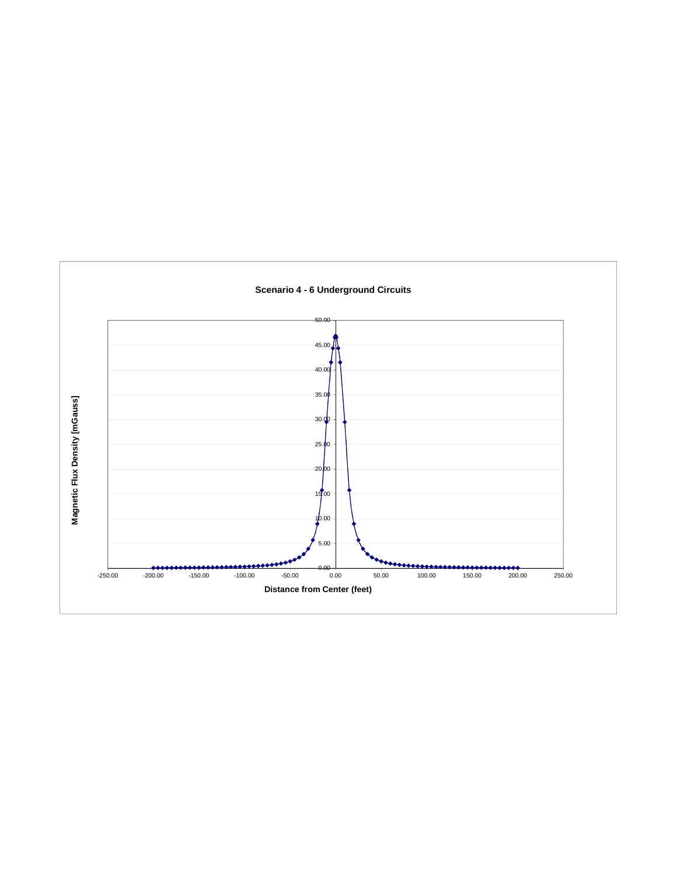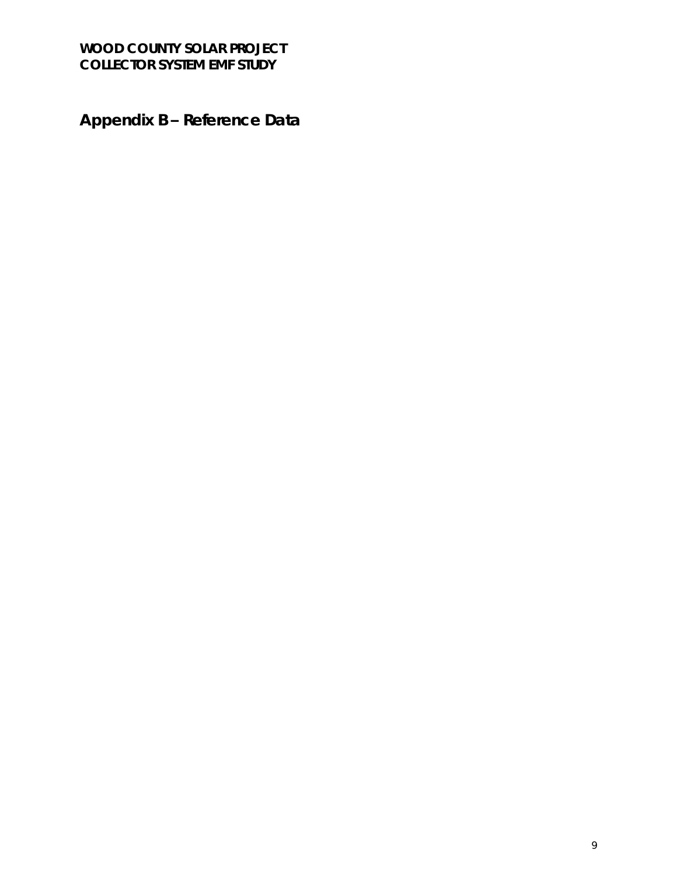**Appendix B – Reference Data**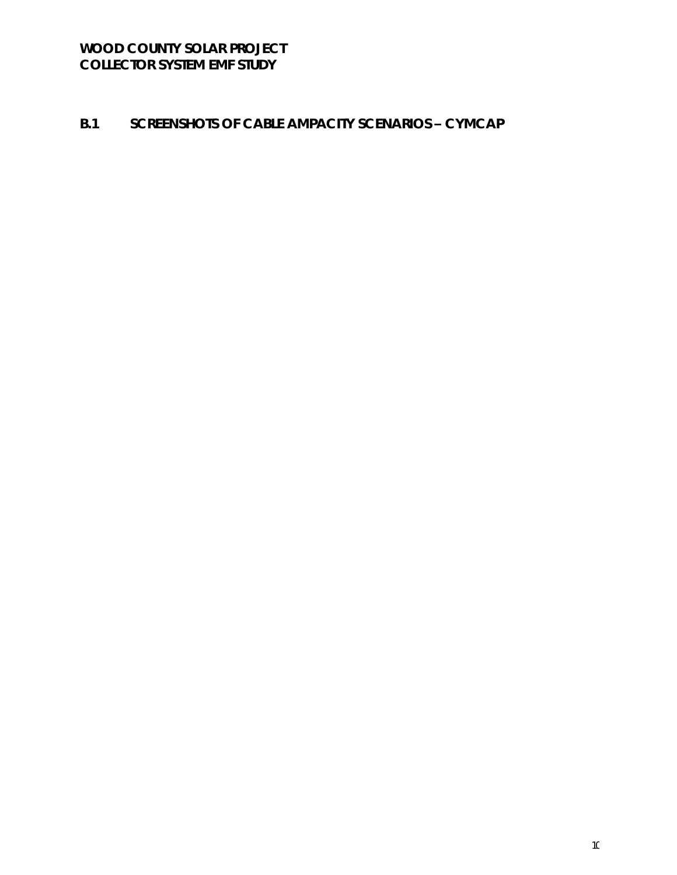### **B.1 SCREENSHOTS OF CABLE AMPACITY SCENARIOS – CYMCAP**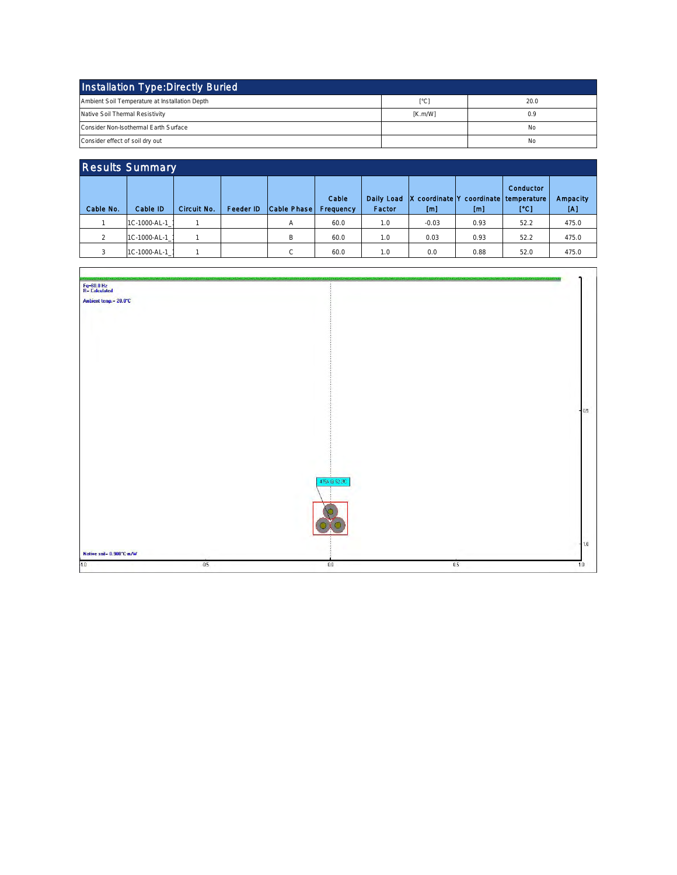| Installation Type: Directly Buried             |         |      |  |  |  |  |  |  |
|------------------------------------------------|---------|------|--|--|--|--|--|--|
| Ambient Soil Temperature at Installation Depth | °Cl     | 20.0 |  |  |  |  |  |  |
| Native Soil Thermal Resistivity                | [K.m/W] | 0.9  |  |  |  |  |  |  |
| Consider Non-Isothermal Earth Surface          |         | No   |  |  |  |  |  |  |
| Consider effect of soil dry out                |         | No   |  |  |  |  |  |  |

| <b>Results Summary</b> |              |             |           |             |                    |                      |                                              |      |                   |                 |
|------------------------|--------------|-------------|-----------|-------------|--------------------|----------------------|----------------------------------------------|------|-------------------|-----------------|
| Cable No.              | Cable ID     | Circuit No. | Feeder ID | Cable Phase | Cable<br>Frequency | Daily Load<br>Factor | X coordinate Y coordinate temperature<br>[m] | [m]  | Conductor<br>[°C] | Ampacity<br>ΙAΙ |
|                        | 1C-1000-AL-1 |             |           | А           | 60.0               | 1.0                  | $-0.03$                                      | 0.93 | 52.2              | 475.0           |
| $\hat{ }$              | 1C-1000-AL-1 |             |           | B           | 60.0               | 1.0                  | 0.03                                         | 0.93 | 52.2              | 475.0           |
|                        | 1C-1000-AL-1 |             |           | C           | 60.0               | 1.0                  | 0.0                                          | 0.88 | 52.0              | 475.0           |
|                        |              |             |           |             |                    |                      |                                              |      |                   |                 |

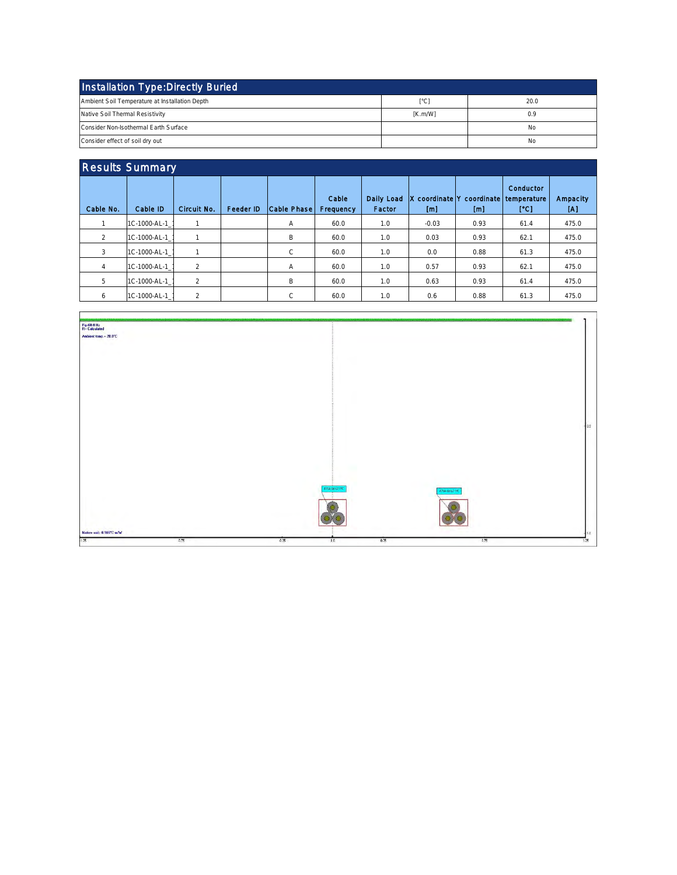| Installation Type: Directly Buried             |         |      |  |  |  |  |  |  |
|------------------------------------------------|---------|------|--|--|--|--|--|--|
| Ambient Soil Temperature at Installation Depth | °Cl     | 20.0 |  |  |  |  |  |  |
| Native Soil Thermal Resistivity                | [K.m/W] | 0.9  |  |  |  |  |  |  |
| Consider Non-Isothermal Earth Surface          |         | No   |  |  |  |  |  |  |
| Consider effect of soil dry out                |         | No   |  |  |  |  |  |  |

| <b>Results Summary</b> |              |                |                  |             |                    |                      |          |                                               |                   |                 |
|------------------------|--------------|----------------|------------------|-------------|--------------------|----------------------|----------|-----------------------------------------------|-------------------|-----------------|
| Cable No.              | Cable ID     | Circuit No.    | <b>Feeder ID</b> | Cable Phase | Cable<br>Frequency | Dally Load<br>Factor | x<br>[m] | coordinate lY coordinate I temperature<br>[m] | Conductor<br>[°C] | Ampacity<br>[A] |
|                        | 1C-1000-AL-1 | 1              |                  | А           | 60.0               | 1.0                  | $-0.03$  | 0.93                                          | 61.4              | 475.0           |
| 2                      | 1C-1000-AL-1 |                |                  | В           | 60.0               | 1.0                  | 0.03     | 0.93                                          | 62.1              | 475.0           |
| 3                      | 1C-1000-AL-1 | 1              |                  | C           | 60.0               | 1.0                  | 0.0      | 0.88                                          | 61.3              | 475.0           |
| $\overline{4}$         | 1C-1000-AL-1 | $\overline{2}$ |                  | A           | 60.0               | 1.0                  | 0.57     | 0.93                                          | 62.1              | 475.0           |
| 5                      | 1C-1000-AL-1 | $\overline{2}$ |                  | B           | 60.0               | 1.0                  | 0.63     | 0.93                                          | 61.4              | 475.0           |
| 6                      | 1C-1000-AL-1 | $\overline{2}$ |                  | C           | 60.0               | 1.0                  | 0.6      | 0.88                                          | 61.3              | 475.0           |
|                        |              |                |                  |             |                    |                      |          |                                               |                   |                 |

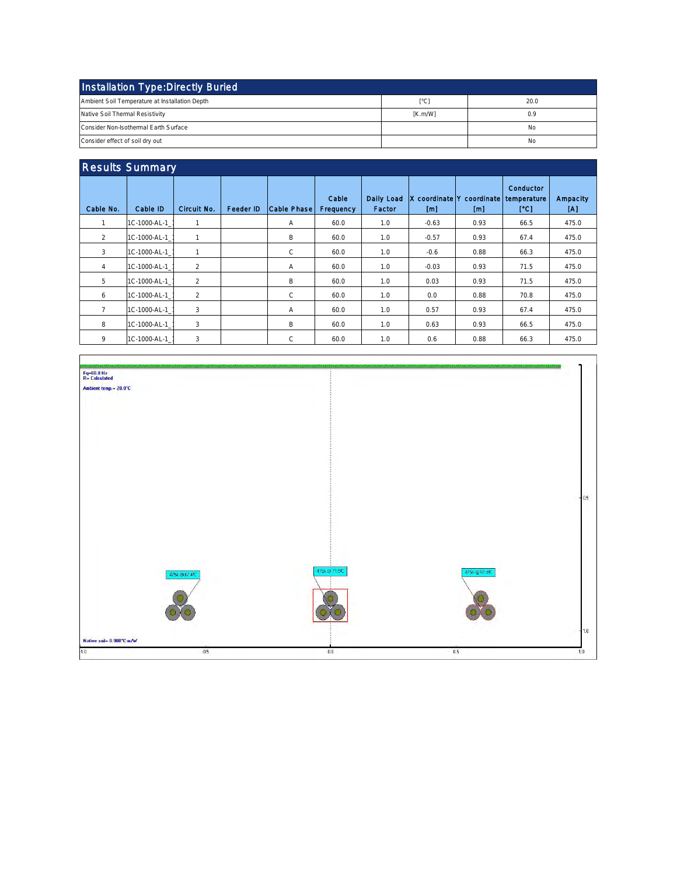| Installation Type: Directly Buried             |         |      |  |  |  |  |  |
|------------------------------------------------|---------|------|--|--|--|--|--|
| Ambient Soil Temperature at Installation Depth | ſ°Cl    | 20.0 |  |  |  |  |  |
| Native Soil Thermal Resistivity                | [K.m/W] | 0.9  |  |  |  |  |  |
| Consider Non-Isothermal Earth Surface          |         | No   |  |  |  |  |  |
| Consider effect of soil dry out                |         | No   |  |  |  |  |  |

| Conductor<br>Daily Load<br>Cable<br>X coordinate Y coordinate temperature<br>Cable No.<br>Circuit No.<br>Cable Phase<br>Cable ID<br>Feeder ID<br>Frequency<br>Factor<br>[°C]<br>[A]<br>[m]<br>[m]<br>1C-1000-AL-1<br>475.0<br>60.0<br>$-0.63$<br>0.93<br>1<br>А<br>1.0<br>66.5<br>$\overline{2}$<br>B<br>1C-1000-AL-1<br>$-0.57$<br>0.93<br>475.0<br>1<br>60.0<br>1.0<br>67.4<br>3<br>$\mathsf{C}$<br>1C-1000-AL-1<br>475.0<br>60.0<br>1.0<br>$-0.6$<br>0.88<br>66.3<br>1<br>$\overline{2}$<br>1C-1000-AL-1<br>60.0<br>$-0.03$<br>0.93<br>475.0<br>1.0<br>71.5<br>$\overline{4}$<br>А<br>5<br>$\overline{2}$<br>1C-1000-AL-1<br>B<br>475.0<br>60.0<br>0.03<br>0.93<br>71.5<br>1.0<br>$\overline{2}$<br>C<br>1C-1000-AL-1<br>60.0<br>0.88<br>70.8<br>475.0<br>6<br>1.0<br>0.0<br>3<br>7<br>1C-1000-AL-1<br>0.57<br>475.0<br>А<br>60.0<br>1.0<br>0.93<br>67.4<br>3<br>8<br>B<br>1C-1000-AL-1<br>475.0<br>60.0<br>1.0<br>0.63<br>0.93<br>66.5 | <b>Results Summary</b> |  |  |  |  |  |  |  |  |          |
|--------------------------------------------------------------------------------------------------------------------------------------------------------------------------------------------------------------------------------------------------------------------------------------------------------------------------------------------------------------------------------------------------------------------------------------------------------------------------------------------------------------------------------------------------------------------------------------------------------------------------------------------------------------------------------------------------------------------------------------------------------------------------------------------------------------------------------------------------------------------------------------------------------------------------------------------|------------------------|--|--|--|--|--|--|--|--|----------|
|                                                                                                                                                                                                                                                                                                                                                                                                                                                                                                                                                                                                                                                                                                                                                                                                                                                                                                                                            |                        |  |  |  |  |  |  |  |  | Ampacity |
|                                                                                                                                                                                                                                                                                                                                                                                                                                                                                                                                                                                                                                                                                                                                                                                                                                                                                                                                            |                        |  |  |  |  |  |  |  |  |          |
|                                                                                                                                                                                                                                                                                                                                                                                                                                                                                                                                                                                                                                                                                                                                                                                                                                                                                                                                            |                        |  |  |  |  |  |  |  |  |          |
|                                                                                                                                                                                                                                                                                                                                                                                                                                                                                                                                                                                                                                                                                                                                                                                                                                                                                                                                            |                        |  |  |  |  |  |  |  |  |          |
|                                                                                                                                                                                                                                                                                                                                                                                                                                                                                                                                                                                                                                                                                                                                                                                                                                                                                                                                            |                        |  |  |  |  |  |  |  |  |          |
|                                                                                                                                                                                                                                                                                                                                                                                                                                                                                                                                                                                                                                                                                                                                                                                                                                                                                                                                            |                        |  |  |  |  |  |  |  |  |          |
|                                                                                                                                                                                                                                                                                                                                                                                                                                                                                                                                                                                                                                                                                                                                                                                                                                                                                                                                            |                        |  |  |  |  |  |  |  |  |          |
|                                                                                                                                                                                                                                                                                                                                                                                                                                                                                                                                                                                                                                                                                                                                                                                                                                                                                                                                            |                        |  |  |  |  |  |  |  |  |          |
|                                                                                                                                                                                                                                                                                                                                                                                                                                                                                                                                                                                                                                                                                                                                                                                                                                                                                                                                            |                        |  |  |  |  |  |  |  |  |          |
| 3<br>9<br>C<br>1C-1000-AL-1<br>475.0<br>60.0<br>1.0<br>0.6<br>0.88<br>66.3                                                                                                                                                                                                                                                                                                                                                                                                                                                                                                                                                                                                                                                                                                                                                                                                                                                                 |                        |  |  |  |  |  |  |  |  |          |